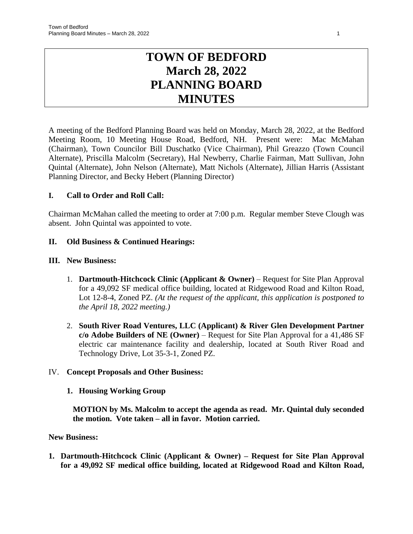# **TOWN OF BEDFORD March 28, 2022 PLANNING BOARD MINUTES**

A meeting of the Bedford Planning Board was held on Monday, March 28, 2022, at the Bedford Meeting Room, 10 Meeting House Road, Bedford, NH. Present were: Mac McMahan (Chairman), Town Councilor Bill Duschatko (Vice Chairman), Phil Greazzo (Town Council Alternate), Priscilla Malcolm (Secretary), Hal Newberry, Charlie Fairman, Matt Sullivan, John Quintal (Alternate), John Nelson (Alternate), Matt Nichols (Alternate), Jillian Harris (Assistant Planning Director, and Becky Hebert (Planning Director)

# **I. Call to Order and Roll Call:**

Chairman McMahan called the meeting to order at 7:00 p.m. Regular member Steve Clough was absent. John Quintal was appointed to vote.

## **II. Old Business & Continued Hearings:**

## **III. New Business:**

- 1. **Dartmouth-Hitchcock Clinic (Applicant & Owner)** Request for Site Plan Approval for a 49,092 SF medical office building, located at Ridgewood Road and Kilton Road, Lot 12-8-4, Zoned PZ. *(At the request of the applicant, this application is postponed to the April 18, 2022 meeting.)*
- 2. **South River Road Ventures, LLC (Applicant) & River Glen Development Partner c/o Adobe Builders of NE (Owner)** – Request for Site Plan Approval for a 41,486 SF electric car maintenance facility and dealership, located at South River Road and Technology Drive, Lot 35-3-1, Zoned PZ.

## IV. **Concept Proposals and Other Business:**

## **1. Housing Working Group**

**MOTION by Ms. Malcolm to accept the agenda as read. Mr. Quintal duly seconded the motion. Vote taken – all in favor. Motion carried.**

## **New Business:**

**1. Dartmouth-Hitchcock Clinic (Applicant & Owner) – Request for Site Plan Approval for a 49,092 SF medical office building, located at Ridgewood Road and Kilton Road,**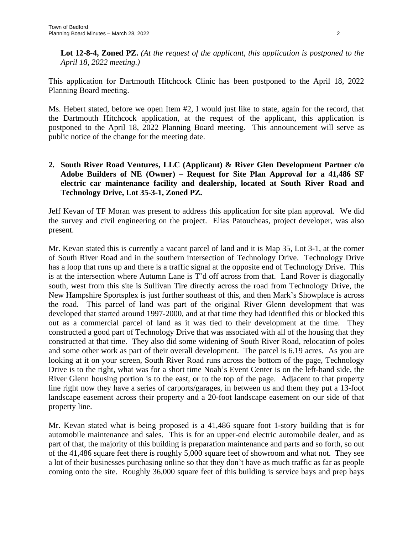**Lot 12-8-4, Zoned PZ.** *(At the request of the applicant, this application is postponed to the April 18, 2022 meeting.)*

This application for Dartmouth Hitchcock Clinic has been postponed to the April 18, 2022 Planning Board meeting.

Ms. Hebert stated, before we open Item #2, I would just like to state, again for the record, that the Dartmouth Hitchcock application, at the request of the applicant, this application is postponed to the April 18, 2022 Planning Board meeting. This announcement will serve as public notice of the change for the meeting date.

# **2. South River Road Ventures, LLC (Applicant) & River Glen Development Partner c/o Adobe Builders of NE (Owner) – Request for Site Plan Approval for a 41,486 SF electric car maintenance facility and dealership, located at South River Road and Technology Drive, Lot 35-3-1, Zoned PZ.**

Jeff Kevan of TF Moran was present to address this application for site plan approval. We did the survey and civil engineering on the project. Elias Patoucheas, project developer, was also present.

Mr. Kevan stated this is currently a vacant parcel of land and it is Map 35, Lot 3-1, at the corner of South River Road and in the southern intersection of Technology Drive. Technology Drive has a loop that runs up and there is a traffic signal at the opposite end of Technology Drive. This is at the intersection where Autumn Lane is T'd off across from that. Land Rover is diagonally south, west from this site is Sullivan Tire directly across the road from Technology Drive, the New Hampshire Sportsplex is just further southeast of this, and then Mark's Showplace is across the road. This parcel of land was part of the original River Glenn development that was developed that started around 1997-2000, and at that time they had identified this or blocked this out as a commercial parcel of land as it was tied to their development at the time. They constructed a good part of Technology Drive that was associated with all of the housing that they constructed at that time. They also did some widening of South River Road, relocation of poles and some other work as part of their overall development. The parcel is 6.19 acres. As you are looking at it on your screen, South River Road runs across the bottom of the page, Technology Drive is to the right, what was for a short time Noah's Event Center is on the left-hand side, the River Glenn housing portion is to the east, or to the top of the page. Adjacent to that property line right now they have a series of carports/garages, in between us and them they put a 13-foot landscape easement across their property and a 20-foot landscape easement on our side of that property line.

Mr. Kevan stated what is being proposed is a 41,486 square foot 1-story building that is for automobile maintenance and sales. This is for an upper-end electric automobile dealer, and as part of that, the majority of this building is preparation maintenance and parts and so forth, so out of the 41,486 square feet there is roughly 5,000 square feet of showroom and what not. They see a lot of their businesses purchasing online so that they don't have as much traffic as far as people coming onto the site. Roughly 36,000 square feet of this building is service bays and prep bays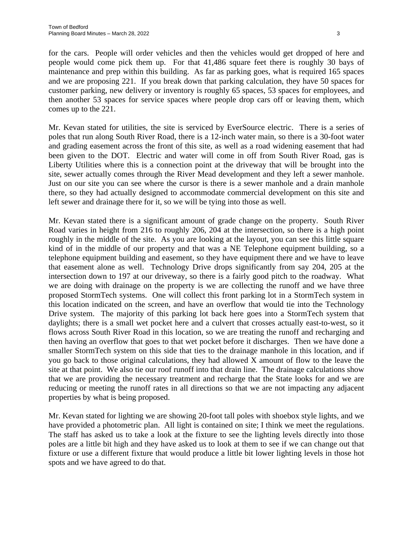for the cars. People will order vehicles and then the vehicles would get dropped of here and people would come pick them up. For that 41,486 square feet there is roughly 30 bays of maintenance and prep within this building. As far as parking goes, what is required 165 spaces and we are proposing 221. If you break down that parking calculation, they have 50 spaces for customer parking, new delivery or inventory is roughly 65 spaces, 53 spaces for employees, and then another 53 spaces for service spaces where people drop cars off or leaving them, which comes up to the 221.

Mr. Kevan stated for utilities, the site is serviced by EverSource electric. There is a series of poles that run along South River Road, there is a 12-inch water main, so there is a 30-foot water and grading easement across the front of this site, as well as a road widening easement that had been given to the DOT. Electric and water will come in off from South River Road, gas is Liberty Utilities where this is a connection point at the driveway that will be brought into the site, sewer actually comes through the River Mead development and they left a sewer manhole. Just on our site you can see where the cursor is there is a sewer manhole and a drain manhole there, so they had actually designed to accommodate commercial development on this site and left sewer and drainage there for it, so we will be tying into those as well.

Mr. Kevan stated there is a significant amount of grade change on the property. South River Road varies in height from 216 to roughly 206, 204 at the intersection, so there is a high point roughly in the middle of the site. As you are looking at the layout, you can see this little square kind of in the middle of our property and that was a NE Telephone equipment building, so a telephone equipment building and easement, so they have equipment there and we have to leave that easement alone as well. Technology Drive drops significantly from say 204, 205 at the intersection down to 197 at our driveway, so there is a fairly good pitch to the roadway. What we are doing with drainage on the property is we are collecting the runoff and we have three proposed StormTech systems. One will collect this front parking lot in a StormTech system in this location indicated on the screen, and have an overflow that would tie into the Technology Drive system. The majority of this parking lot back here goes into a StormTech system that daylights; there is a small wet pocket here and a culvert that crosses actually east-to-west, so it flows across South River Road in this location, so we are treating the runoff and recharging and then having an overflow that goes to that wet pocket before it discharges. Then we have done a smaller StormTech system on this side that ties to the drainage manhole in this location, and if you go back to those original calculations, they had allowed X amount of flow to the leave the site at that point. We also tie our roof runoff into that drain line. The drainage calculations show that we are providing the necessary treatment and recharge that the State looks for and we are reducing or meeting the runoff rates in all directions so that we are not impacting any adjacent properties by what is being proposed.

Mr. Kevan stated for lighting we are showing 20-foot tall poles with shoebox style lights, and we have provided a photometric plan. All light is contained on site; I think we meet the regulations. The staff has asked us to take a look at the fixture to see the lighting levels directly into those poles are a little bit high and they have asked us to look at them to see if we can change out that fixture or use a different fixture that would produce a little bit lower lighting levels in those hot spots and we have agreed to do that.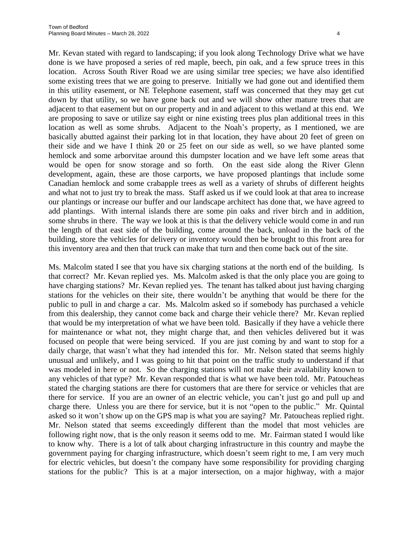Mr. Kevan stated with regard to landscaping; if you look along Technology Drive what we have done is we have proposed a series of red maple, beech, pin oak, and a few spruce trees in this location. Across South River Road we are using similar tree species; we have also identified some existing trees that we are going to preserve. Initially we had gone out and identified them in this utility easement, or NE Telephone easement, staff was concerned that they may get cut down by that utility, so we have gone back out and we will show other mature trees that are adjacent to that easement but on our property and in and adjacent to this wetland at this end. We are proposing to save or utilize say eight or nine existing trees plus plan additional trees in this location as well as some shrubs. Adjacent to the Noah's property, as I mentioned, we are basically abutted against their parking lot in that location, they have about 20 feet of green on their side and we have I think 20 or 25 feet on our side as well, so we have planted some hemlock and some arborvitae around this dumpster location and we have left some areas that would be open for snow storage and so forth. On the east side along the River Glenn development, again, these are those carports, we have proposed plantings that include some Canadian hemlock and some crabapple trees as well as a variety of shrubs of different heights and what not to just try to break the mass. Staff asked us if we could look at that area to increase our plantings or increase our buffer and our landscape architect has done that, we have agreed to add plantings. With internal islands there are some pin oaks and river birch and in addition, some shrubs in there. The way we look at this is that the delivery vehicle would come in and run the length of that east side of the building, come around the back, unload in the back of the building, store the vehicles for delivery or inventory would then be brought to this front area for this inventory area and then that truck can make that turn and then come back out of the site.

Ms. Malcolm stated I see that you have six charging stations at the north end of the building. Is that correct? Mr. Kevan replied yes. Ms. Malcolm asked is that the only place you are going to have charging stations? Mr. Kevan replied yes. The tenant has talked about just having charging stations for the vehicles on their site, there wouldn't be anything that would be there for the public to pull in and charge a car. Ms. Malcolm asked so if somebody has purchased a vehicle from this dealership, they cannot come back and charge their vehicle there? Mr. Kevan replied that would be my interpretation of what we have been told. Basically if they have a vehicle there for maintenance or what not, they might charge that, and then vehicles delivered but it was focused on people that were being serviced. If you are just coming by and want to stop for a daily charge, that wasn't what they had intended this for. Mr. Nelson stated that seems highly unusual and unlikely, and I was going to hit that point on the traffic study to understand if that was modeled in here or not. So the charging stations will not make their availability known to any vehicles of that type? Mr. Kevan responded that is what we have been told. Mr. Patoucheas stated the charging stations are there for customers that are there for service or vehicles that are there for service. If you are an owner of an electric vehicle, you can't just go and pull up and charge there. Unless you are there for service, but it is not "open to the public." Mr. Quintal asked so it won't show up on the GPS map is what you are saying? Mr. Patoucheas replied right. Mr. Nelson stated that seems exceedingly different than the model that most vehicles are following right now, that is the only reason it seems odd to me. Mr. Fairman stated I would like to know why. There is a lot of talk about charging infrastructure in this country and maybe the government paying for charging infrastructure, which doesn't seem right to me, I am very much for electric vehicles, but doesn't the company have some responsibility for providing charging stations for the public? This is at a major intersection, on a major highway, with a major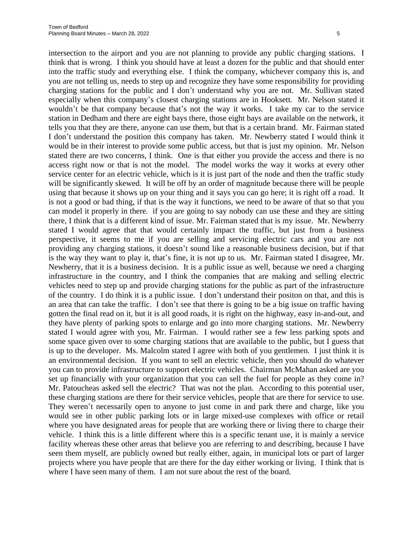intersection to the airport and you are not planning to provide any public charging stations. I think that is wrong. I think you should have at least a dozen for the public and that should enter into the traffic study and everything else. I think the company, whichever company this is, and you are not telling us, needs to step up and recognize they have some responsibility for providing charging stations for the public and I don't understand why you are not. Mr. Sullivan stated especially when this company's closest charging stations are in Hooksett. Mr. Nelson stated it wouldn't be that company because that's not the way it works. I take my car to the service station in Dedham and there are eight bays there, those eight bays are available on the network, it tells you that they are there, anyone can use them, but that is a certain brand. Mr. Fairman stated I don't understand the position this company has taken. Mr. Newberry stated I would think it would be in their interest to provide some public access, but that is just my opinion. Mr. Nelson stated there are two concerns, I think. One is that either you provide the access and there is no access right now or that is not the model. The model works the way it works at every other service center for an electric vehicle, which is it is just part of the node and then the traffic study will be significantly skewed. It will be off by an order of magnitude because there will be people using that because it shows up on your thing and it says you can go here; it is right off a road. It is not a good or bad thing, if that is the way it functions, we need to be aware of that so that you can model it properly in there. if you are going to say nobody can use these and they are sitting there, I think that is a different kind of issue. Mr. Fairman stated that is my issue. Mr. Newberry stated I would agree that that would certainly impact the traffic, but just from a business perspective, it seems to me if you are selling and servicing electric cars and you are not providing any charging stations, it doesn't sound like a reasonable business decision, but if that is the way they want to play it, that's fine, it is not up to us. Mr. Fairman stated I disagree, Mr. Newberry, that it is a business decision. It is a public issue as well, because we need a charging infrastructure in the country, and I think the companies that are making and selling electric vehicles need to step up and provide charging stations for the public as part of the infrastructure of the country. I do think it is a public issue. I don't understand their positon on that, and this is an area that can take the traffic. I don't see that there is going to be a big issue on traffic having gotten the final read on it, but it is all good roads, it is right on the highway, easy in-and-out, and they have plenty of parking spots to enlarge and go into more charging stations. Mr. Newberry stated I would agree with you, Mr. Fairman. I would rather see a few less parking spots and some space given over to some charging stations that are available to the public, but I guess that is up to the developer. Ms. Malcolm stated I agree with both of you gentlemen. I just think it is an environmental decision. If you want to sell an electric vehicle, then you should do whatever you can to provide infrastructure to support electric vehicles. Chairman McMahan asked are you set up financially with your organization that you can sell the fuel for people as they come in? Mr. Patoucheas asked sell the electric? That was not the plan. According to this potential user, these charging stations are there for their service vehicles, people that are there for service to use. They weren't necessarily open to anyone to just come in and park there and charge, like you would see in other public parking lots or in large mixed-use complexes with office or retail where you have designated areas for people that are working there or living there to charge their vehicle. I think this is a little different where this is a specific tenant use, it is mainly a service facility whereas these other areas that believe you are referring to and describing, because I have seen them myself, are publicly owned but really either, again, in municipal lots or part of larger projects where you have people that are there for the day either working or living. I think that is where I have seen many of them. I am not sure about the rest of the board.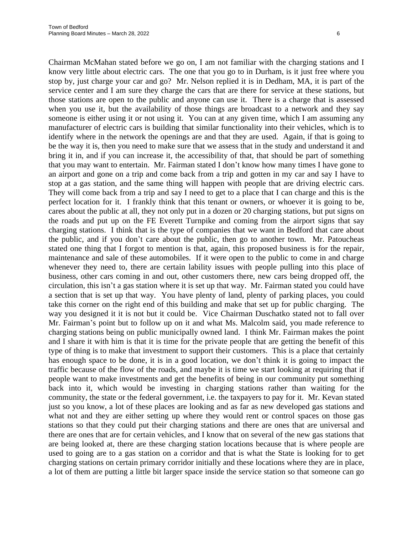Chairman McMahan stated before we go on, I am not familiar with the charging stations and I know very little about electric cars. The one that you go to in Durham, is it just free where you stop by, just charge your car and go? Mr. Nelson replied it is in Dedham, MA, it is part of the service center and I am sure they charge the cars that are there for service at these stations, but those stations are open to the public and anyone can use it. There is a charge that is assessed when you use it, but the availability of those things are broadcast to a network and they say someone is either using it or not using it. You can at any given time, which I am assuming any manufacturer of electric cars is building that similar functionality into their vehicles, which is to identify where in the network the openings are and that they are used. Again, if that is going to be the way it is, then you need to make sure that we assess that in the study and understand it and bring it in, and if you can increase it, the accessibility of that, that should be part of something that you may want to entertain. Mr. Fairman stated I don't know how many times I have gone to an airport and gone on a trip and come back from a trip and gotten in my car and say I have to stop at a gas station, and the same thing will happen with people that are driving electric cars. They will come back from a trip and say I need to get to a place that I can charge and this is the perfect location for it. I frankly think that this tenant or owners, or whoever it is going to be, cares about the public at all, they not only put in a dozen or 20 charging stations, but put signs on the roads and put up on the FE Everett Turnpike and coming from the airport signs that say charging stations. I think that is the type of companies that we want in Bedford that care about the public, and if you don't care about the public, then go to another town. Mr. Patoucheas stated one thing that I forgot to mention is that, again, this proposed business is for the repair, maintenance and sale of these automobiles. If it were open to the public to come in and charge whenever they need to, there are certain lability issues with people pulling into this place of business, other cars coming in and out, other customers there, new cars being dropped off, the circulation, this isn't a gas station where it is set up that way. Mr. Fairman stated you could have a section that is set up that way. You have plenty of land, plenty of parking places, you could take this corner on the right end of this building and make that set up for public charging. The way you designed it it is not but it could be. Vice Chairman Duschatko stated not to fall over Mr. Fairman's point but to follow up on it and what Ms. Malcolm said, you made reference to charging stations being on public municipally owned land. I think Mr. Fairman makes the point and I share it with him is that it is time for the private people that are getting the benefit of this type of thing is to make that investment to support their customers. This is a place that certainly has enough space to be done, it is in a good location, we don't think it is going to impact the traffic because of the flow of the roads, and maybe it is time we start looking at requiring that if people want to make investments and get the benefits of being in our community put something back into it, which would be investing in charging stations rather than waiting for the community, the state or the federal government, i.e. the taxpayers to pay for it. Mr. Kevan stated just so you know, a lot of these places are looking and as far as new developed gas stations and what not and they are either setting up where they would rent or control spaces on those gas stations so that they could put their charging stations and there are ones that are universal and there are ones that are for certain vehicles, and I know that on several of the new gas stations that are being looked at, there are these charging station locations because that is where people are used to going are to a gas station on a corridor and that is what the State is looking for to get charging stations on certain primary corridor initially and these locations where they are in place, a lot of them are putting a little bit larger space inside the service station so that someone can go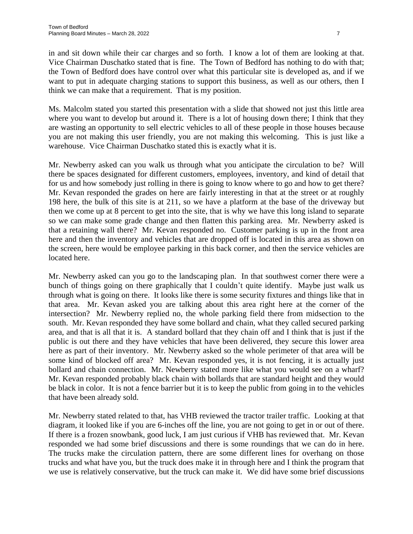in and sit down while their car charges and so forth. I know a lot of them are looking at that. Vice Chairman Duschatko stated that is fine. The Town of Bedford has nothing to do with that; the Town of Bedford does have control over what this particular site is developed as, and if we want to put in adequate charging stations to support this business, as well as our others, then I think we can make that a requirement. That is my position.

Ms. Malcolm stated you started this presentation with a slide that showed not just this little area where you want to develop but around it. There is a lot of housing down there; I think that they are wasting an opportunity to sell electric vehicles to all of these people in those houses because you are not making this user friendly, you are not making this welcoming. This is just like a warehouse. Vice Chairman Duschatko stated this is exactly what it is.

Mr. Newberry asked can you walk us through what you anticipate the circulation to be? Will there be spaces designated for different customers, employees, inventory, and kind of detail that for us and how somebody just rolling in there is going to know where to go and how to get there? Mr. Kevan responded the grades on here are fairly interesting in that at the street or at roughly 198 here, the bulk of this site is at 211, so we have a platform at the base of the driveway but then we come up at 8 percent to get into the site, that is why we have this long island to separate so we can make some grade change and then flatten this parking area. Mr. Newberry asked is that a retaining wall there? Mr. Kevan responded no. Customer parking is up in the front area here and then the inventory and vehicles that are dropped off is located in this area as shown on the screen, here would be employee parking in this back corner, and then the service vehicles are located here.

Mr. Newberry asked can you go to the landscaping plan. In that southwest corner there were a bunch of things going on there graphically that I couldn't quite identify. Maybe just walk us through what is going on there. It looks like there is some security fixtures and things like that in that area. Mr. Kevan asked you are talking about this area right here at the corner of the intersection? Mr. Newberry replied no, the whole parking field there from midsection to the south. Mr. Kevan responded they have some bollard and chain, what they called secured parking area, and that is all that it is. A standard bollard that they chain off and I think that is just if the public is out there and they have vehicles that have been delivered, they secure this lower area here as part of their inventory. Mr. Newberry asked so the whole perimeter of that area will be some kind of blocked off area? Mr. Kevan responded yes, it is not fencing, it is actually just bollard and chain connection. Mr. Newberry stated more like what you would see on a wharf? Mr. Kevan responded probably black chain with bollards that are standard height and they would be black in color. It is not a fence barrier but it is to keep the public from going in to the vehicles that have been already sold.

Mr. Newberry stated related to that, has VHB reviewed the tractor trailer traffic. Looking at that diagram, it looked like if you are 6-inches off the line, you are not going to get in or out of there. If there is a frozen snowbank, good luck, I am just curious if VHB has reviewed that. Mr. Kevan responded we had some brief discussions and there is some roundings that we can do in here. The trucks make the circulation pattern, there are some different lines for overhang on those trucks and what have you, but the truck does make it in through here and I think the program that we use is relatively conservative, but the truck can make it. We did have some brief discussions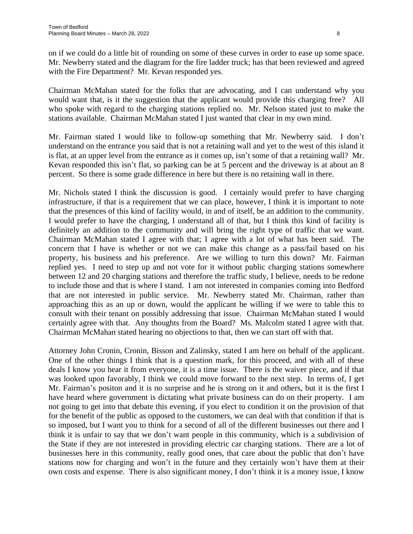on if we could do a little bit of rounding on some of these curves in order to ease up some space. Mr. Newberry stated and the diagram for the fire ladder truck; has that been reviewed and agreed with the Fire Department? Mr. Kevan responded yes.

Chairman McMahan stated for the folks that are advocating, and I can understand why you would want that, is it the suggestion that the applicant would provide this charging free? All who spoke with regard to the charging stations replied no. Mr. Nelson stated just to make the stations available. Chairman McMahan stated I just wanted that clear in my own mind.

Mr. Fairman stated I would like to follow-up something that Mr. Newberry said. I don't understand on the entrance you said that is not a retaining wall and yet to the west of this island it is flat, at an upper level from the entrance as it comes up, isn't some of that a retaining wall? Mr. Kevan responded this isn't flat, so parking can be at 5 percent and the driveway is at about an 8 percent. So there is some grade difference in here but there is no retaining wall in there.

Mr. Nichols stated I think the discussion is good. I certainly would prefer to have charging infrastructure, if that is a requirement that we can place, however, I think it is important to note that the presences of this kind of facility would, in and of itself, be an addition to the community. I would prefer to have the charging, I understand all of that, but I think this kind of facility is definitely an addition to the community and will bring the right type of traffic that we want. Chairman McMahan stated I agree with that; I agree with a lot of what has been said. The concern that I have is whether or not we can make this change as a pass/fail based on his property, his business and his preference. Are we willing to turn this down? Mr. Fairman replied yes. I need to step up and not vote for it without public charging stations somewhere between 12 and 20 charging stations and therefore the traffic study, I believe, needs to be redone to include those and that is where I stand. I am not interested in companies coming into Bedford that are not interested in public service. Mr. Newberry stated Mr. Chairman, rather than approaching this as an up or down, would the applicant be willing if we were to table this to consult with their tenant on possibly addressing that issue. Chairman McMahan stated I would certainly agree with that. Any thoughts from the Board? Ms. Malcolm stated I agree with that. Chairman McMahan stated hearing no objections to that, then we can start off with that.

Attorney John Cronin, Cronin, Bisson and Zalinsky, stated I am here on behalf of the applicant. One of the other things I think that is a question mark, for this proceed, and with all of these deals I know you hear it from everyone, it is a time issue. There is the waiver piece, and if that was looked upon favorably, I think we could move forward to the next step. In terms of, I get Mr. Fairman's positon and it is no surprise and he is strong on it and others, but it is the first I have heard where government is dictating what private business can do on their property. I am not going to get into that debate this evening, if you elect to condition it on the provision of that for the benefit of the public as opposed to the customers, we can deal with that condition if that is so imposed, but I want you to think for a second of all of the different businesses out there and I think it is unfair to say that we don't want people in this community, which is a subdivision of the State if they are not interested in providing electric car charging stations. There are a lot of businesses here in this community, really good ones, that care about the public that don't have stations now for charging and won't in the future and they certainly won't have them at their own costs and expense. There is also significant money, I don't think it is a money issue, I know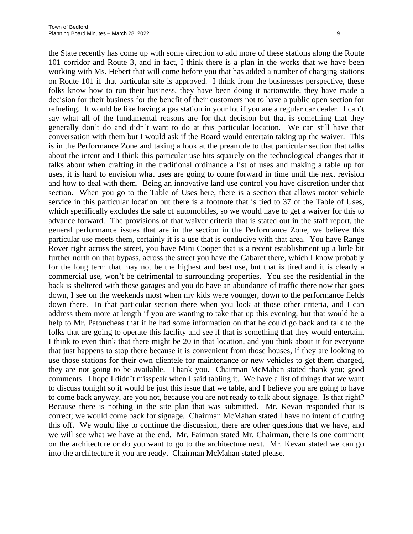the State recently has come up with some direction to add more of these stations along the Route 101 corridor and Route 3, and in fact, I think there is a plan in the works that we have been working with Ms. Hebert that will come before you that has added a number of charging stations on Route 101 if that particular site is approved. I think from the businesses perspective, these folks know how to run their business, they have been doing it nationwide, they have made a decision for their business for the benefit of their customers not to have a public open section for refueling. It would be like having a gas station in your lot if you are a regular car dealer. I can't say what all of the fundamental reasons are for that decision but that is something that they generally don't do and didn't want to do at this particular location. We can still have that conversation with them but I would ask if the Board would entertain taking up the waiver. This is in the Performance Zone and taking a look at the preamble to that particular section that talks about the intent and I think this particular use hits squarely on the technological changes that it talks about when crafting in the traditional ordinance a list of uses and making a table up for uses, it is hard to envision what uses are going to come forward in time until the next revision and how to deal with them. Being an innovative land use control you have discretion under that section. When you go to the Table of Uses here, there is a section that allows motor vehicle service in this particular location but there is a footnote that is tied to 37 of the Table of Uses, which specifically excludes the sale of automobiles, so we would have to get a waiver for this to advance forward. The provisions of that waiver criteria that is stated out in the staff report, the general performance issues that are in the section in the Performance Zone, we believe this particular use meets them, certainly it is a use that is conducive with that area. You have Range Rover right across the street, you have Mini Cooper that is a recent establishment up a little bit further north on that bypass, across the street you have the Cabaret there, which I know probably for the long term that may not be the highest and best use, but that is tired and it is clearly a commercial use, won't be detrimental to surrounding properties. You see the residential in the back is sheltered with those garages and you do have an abundance of traffic there now that goes down, I see on the weekends most when my kids were younger, down to the performance fields down there. In that particular section there when you look at those other criteria, and I can address them more at length if you are wanting to take that up this evening, but that would be a help to Mr. Patoucheas that if he had some information on that he could go back and talk to the folks that are going to operate this facility and see if that is something that they would entertain. I think to even think that there might be 20 in that location, and you think about it for everyone that just happens to stop there because it is convenient from those houses, if they are looking to use those stations for their own clientele for maintenance or new vehicles to get them charged, they are not going to be available. Thank you. Chairman McMahan stated thank you; good comments. I hope I didn't misspeak when I said tabling it. We have a list of things that we want to discuss tonight so it would be just this issue that we table, and I believe you are going to have to come back anyway, are you not, because you are not ready to talk about signage. Is that right? Because there is nothing in the site plan that was submitted. Mr. Kevan responded that is correct; we would come back for signage. Chairman McMahan stated I have no intent of cutting this off. We would like to continue the discussion, there are other questions that we have, and we will see what we have at the end. Mr. Fairman stated Mr. Chairman, there is one comment on the architecture or do you want to go to the architecture next. Mr. Kevan stated we can go into the architecture if you are ready. Chairman McMahan stated please.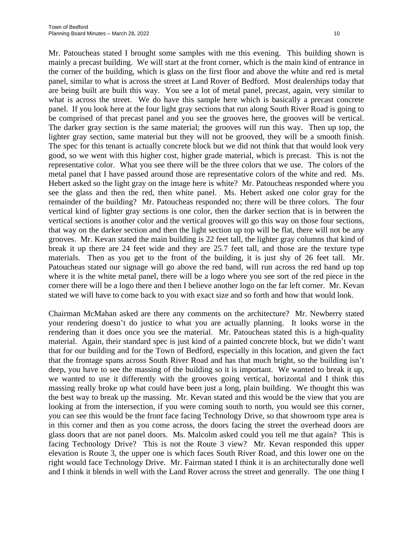Mr. Patoucheas stated I brought some samples with me this evening. This building shown is mainly a precast building. We will start at the front corner, which is the main kind of entrance in the corner of the building, which is glass on the first floor and above the white and red is metal panel, similar to what is across the street at Land Rover of Bedford. Most dealerships today that are being built are built this way. You see a lot of metal panel, precast, again, very similar to what is across the street. We do have this sample here which is basically a precast concrete panel. If you look here at the four light gray sections that run along South River Road is going to be comprised of that precast panel and you see the grooves here, the grooves will be vertical. The darker gray section is the same material; the grooves will run this way. Then up top, the lighter gray section, same material but they will not be grooved, they will be a smooth finish. The spec for this tenant is actually concrete block but we did not think that that would look very good, so we went with this higher cost, higher grade material, which is precast. This is not the representative color. What you see there will be the three colors that we use. The colors of the metal panel that I have passed around those are representative colors of the white and red. Ms. Hebert asked so the light gray on the image here is white? Mr. Patoucheas responded where you see the glass and then the red, then white panel. Ms. Hebert asked one color gray for the remainder of the building? Mr. Patoucheas responded no; there will be three colors. The four vertical kind of lighter gray sections is one color, then the darker section that is in between the vertical sections is another color and the vertical grooves will go this way on those four sections, that way on the darker section and then the light section up top will be flat, there will not be any grooves. Mr. Kevan stated the main building is 22 feet tall, the lighter gray columns that kind of break it up there are 24 feet wide and they are 25.7 feet tall, and those are the texture type materials. Then as you get to the front of the building, it is just shy of 26 feet tall. Mr. Patoucheas stated our signage will go above the red band, will run across the red band up top where it is the white metal panel, there will be a logo where you see sort of the red piece in the corner there will be a logo there and then I believe another logo on the far left corner. Mr. Kevan stated we will have to come back to you with exact size and so forth and how that would look.

Chairman McMahan asked are there any comments on the architecture? Mr. Newberry stated your rendering doesn't do justice to what you are actually planning. It looks worse in the rendering than it does once you see the material. Mr. Patoucheas stated this is a high-quality material. Again, their standard spec is just kind of a painted concrete block, but we didn't want that for our building and for the Town of Bedford, especially in this location, and given the fact that the frontage spans across South River Road and has that much bright, so the building isn't deep, you have to see the massing of the building so it is important. We wanted to break it up, we wanted to use it differently with the grooves going vertical, horizontal and I think this massing really broke up what could have been just a long, plain building. We thought this was the best way to break up the massing. Mr. Kevan stated and this would be the view that you are looking at from the intersection, if you were coming south to north, you would see this corner, you can see this would be the front face facing Technology Drive, so that showroom type area is in this corner and then as you come across, the doors facing the street the overhead doors are glass doors that are not panel doors. Ms. Malcolm asked could you tell me that again? This is facing Technology Drive? This is not the Route 3 view? Mr. Kevan responded this upper elevation is Route 3, the upper one is which faces South River Road, and this lower one on the right would face Technology Drive. Mr. Fairman stated I think it is an architecturally done well and I think it blends in well with the Land Rover across the street and generally. The one thing I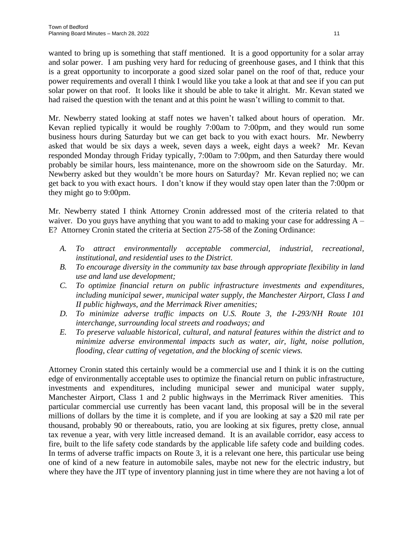wanted to bring up is something that staff mentioned. It is a good opportunity for a solar array and solar power. I am pushing very hard for reducing of greenhouse gases, and I think that this is a great opportunity to incorporate a good sized solar panel on the roof of that, reduce your power requirements and overall I think I would like you take a look at that and see if you can put solar power on that roof. It looks like it should be able to take it alright. Mr. Kevan stated we had raised the question with the tenant and at this point he wasn't willing to commit to that.

Mr. Newberry stated looking at staff notes we haven't talked about hours of operation. Mr. Kevan replied typically it would be roughly 7:00am to 7:00pm, and they would run some business hours during Saturday but we can get back to you with exact hours. Mr. Newberry asked that would be six days a week, seven days a week, eight days a week? Mr. Kevan responded Monday through Friday typically, 7:00am to 7:00pm, and then Saturday there would probably be similar hours, less maintenance, more on the showroom side on the Saturday. Mr. Newberry asked but they wouldn't be more hours on Saturday? Mr. Kevan replied no; we can get back to you with exact hours. I don't know if they would stay open later than the 7:00pm or they might go to 9:00pm.

Mr. Newberry stated I think Attorney Cronin addressed most of the criteria related to that waiver. Do you guys have anything that you want to add to making your case for addressing  $A -$ E? Attorney Cronin stated the criteria at Section 275-58 of the Zoning Ordinance:

- *A. To attract environmentally acceptable commercial, industrial, recreational, institutional, and residential uses to the District.*
- *B. To encourage diversity in the community tax base through appropriate flexibility in land use and land use development;*
- *C. To optimize financial return on public infrastructure investments and expenditures, including municipal sewer, municipal water supply, the Manchester Airport, Class I and II public highways, and the Merrimack River amenities;*
- *D. To minimize adverse traffic impacts on U.S. Route 3, the I-293/NH Route 101 interchange, surrounding local streets and roadways; and*
- *E. To preserve valuable historical, cultural, and natural features within the district and to minimize adverse environmental impacts such as water, air, light, noise pollution, flooding, clear cutting of vegetation, and the blocking of scenic views.*

Attorney Cronin stated this certainly would be a commercial use and I think it is on the cutting edge of environmentally acceptable uses to optimize the financial return on public infrastructure, investments and expenditures, including municipal sewer and municipal water supply, Manchester Airport, Class 1 and 2 public highways in the Merrimack River amenities. This particular commercial use currently has been vacant land, this proposal will be in the several millions of dollars by the time it is complete, and if you are looking at say a \$20 mil rate per thousand, probably 90 or thereabouts, ratio, you are looking at six figures, pretty close, annual tax revenue a year, with very little increased demand. It is an available corridor, easy access to fire, built to the life safety code standards by the applicable life safety code and building codes. In terms of adverse traffic impacts on Route 3, it is a relevant one here, this particular use being one of kind of a new feature in automobile sales, maybe not new for the electric industry, but where they have the JIT type of inventory planning just in time where they are not having a lot of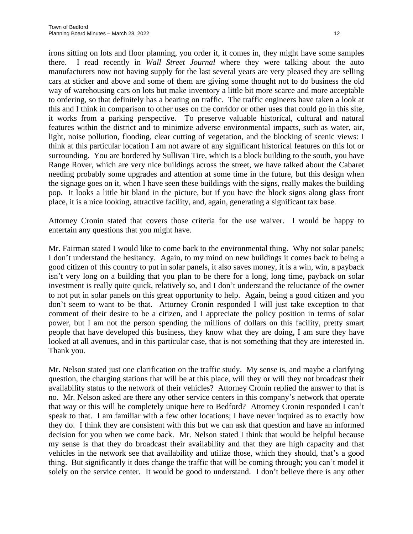irons sitting on lots and floor planning, you order it, it comes in, they might have some samples there. I read recently in *Wall Street Journal* where they were talking about the auto manufacturers now not having supply for the last several years are very pleased they are selling cars at sticker and above and some of them are giving some thought not to do business the old way of warehousing cars on lots but make inventory a little bit more scarce and more acceptable to ordering, so that definitely has a bearing on traffic. The traffic engineers have taken a look at this and I think in comparison to other uses on the corridor or other uses that could go in this site, it works from a parking perspective. To preserve valuable historical, cultural and natural features within the district and to minimize adverse environmental impacts, such as water, air, light, noise pollution, flooding, clear cutting of vegetation, and the blocking of scenic views: I think at this particular location I am not aware of any significant historical features on this lot or surrounding. You are bordered by Sullivan Tire, which is a block building to the south, you have Range Rover, which are very nice buildings across the street, we have talked about the Cabaret needing probably some upgrades and attention at some time in the future, but this design when the signage goes on it, when I have seen these buildings with the signs, really makes the building pop. It looks a little bit bland in the picture, but if you have the block signs along glass front place, it is a nice looking, attractive facility, and, again, generating a significant tax base.

Attorney Cronin stated that covers those criteria for the use waiver. I would be happy to entertain any questions that you might have.

Mr. Fairman stated I would like to come back to the environmental thing. Why not solar panels; I don't understand the hesitancy. Again, to my mind on new buildings it comes back to being a good citizen of this country to put in solar panels, it also saves money, it is a win, win, a payback isn't very long on a building that you plan to be there for a long, long time, payback on solar investment is really quite quick, relatively so, and I don't understand the reluctance of the owner to not put in solar panels on this great opportunity to help. Again, being a good citizen and you don't seem to want to be that. Attorney Cronin responded I will just take exception to that comment of their desire to be a citizen, and I appreciate the policy position in terms of solar power, but I am not the person spending the millions of dollars on this facility, pretty smart people that have developed this business, they know what they are doing, I am sure they have looked at all avenues, and in this particular case, that is not something that they are interested in. Thank you.

Mr. Nelson stated just one clarification on the traffic study. My sense is, and maybe a clarifying question, the charging stations that will be at this place, will they or will they not broadcast their availability status to the network of their vehicles? Attorney Cronin replied the answer to that is no. Mr. Nelson asked are there any other service centers in this company's network that operate that way or this will be completely unique here to Bedford? Attorney Cronin responded I can't speak to that. I am familiar with a few other locations; I have never inquired as to exactly how they do. I think they are consistent with this but we can ask that question and have an informed decision for you when we come back. Mr. Nelson stated I think that would be helpful because my sense is that they do broadcast their availability and that they are high capacity and that vehicles in the network see that availability and utilize those, which they should, that's a good thing. But significantly it does change the traffic that will be coming through; you can't model it solely on the service center. It would be good to understand. I don't believe there is any other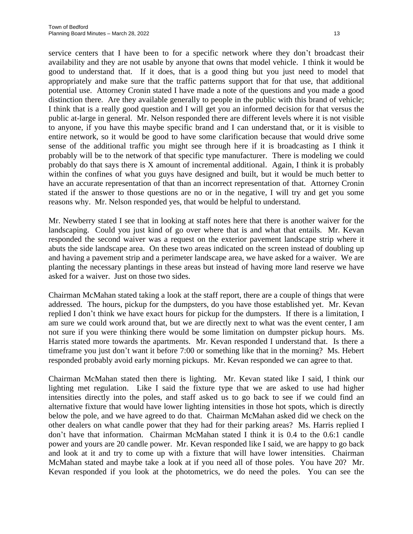service centers that I have been to for a specific network where they don't broadcast their availability and they are not usable by anyone that owns that model vehicle. I think it would be good to understand that. If it does, that is a good thing but you just need to model that appropriately and make sure that the traffic patterns support that for that use, that additional potential use. Attorney Cronin stated I have made a note of the questions and you made a good distinction there. Are they available generally to people in the public with this brand of vehicle; I think that is a really good question and I will get you an informed decision for that versus the public at-large in general. Mr. Nelson responded there are different levels where it is not visible to anyone, if you have this maybe specific brand and I can understand that, or it is visible to entire network, so it would be good to have some clarification because that would drive some sense of the additional traffic you might see through here if it is broadcasting as I think it probably will be to the network of that specific type manufacturer. There is modeling we could probably do that says there is X amount of incremental additional. Again, I think it is probably within the confines of what you guys have designed and built, but it would be much better to have an accurate representation of that than an incorrect representation of that. Attorney Cronin stated if the answer to those questions are no or in the negative, I will try and get you some reasons why. Mr. Nelson responded yes, that would be helpful to understand.

Mr. Newberry stated I see that in looking at staff notes here that there is another waiver for the landscaping. Could you just kind of go over where that is and what that entails. Mr. Kevan responded the second waiver was a request on the exterior pavement landscape strip where it abuts the side landscape area. On these two areas indicated on the screen instead of doubling up and having a pavement strip and a perimeter landscape area, we have asked for a waiver. We are planting the necessary plantings in these areas but instead of having more land reserve we have asked for a waiver. Just on those two sides.

Chairman McMahan stated taking a look at the staff report, there are a couple of things that were addressed. The hours, pickup for the dumpsters, do you have those established yet. Mr. Kevan replied I don't think we have exact hours for pickup for the dumpsters. If there is a limitation, I am sure we could work around that, but we are directly next to what was the event center, I am not sure if you were thinking there would be some limitation on dumpster pickup hours. Ms. Harris stated more towards the apartments. Mr. Kevan responded I understand that. Is there a timeframe you just don't want it before 7:00 or something like that in the morning? Ms. Hebert responded probably avoid early morning pickups. Mr. Kevan responded we can agree to that.

Chairman McMahan stated then there is lighting. Mr. Kevan stated like I said, I think our lighting met regulation. Like I said the fixture type that we are asked to use had higher intensities directly into the poles, and staff asked us to go back to see if we could find an alternative fixture that would have lower lighting intensities in those hot spots, which is directly below the pole, and we have agreed to do that. Chairman McMahan asked did we check on the other dealers on what candle power that they had for their parking areas? Ms. Harris replied I don't have that information. Chairman McMahan stated I think it is 0.4 to the 0.6:1 candle power and yours are 20 candle power. Mr. Kevan responded like I said, we are happy to go back and look at it and try to come up with a fixture that will have lower intensities. Chairman McMahan stated and maybe take a look at if you need all of those poles. You have 20? Mr. Kevan responded if you look at the photometrics, we do need the poles. You can see the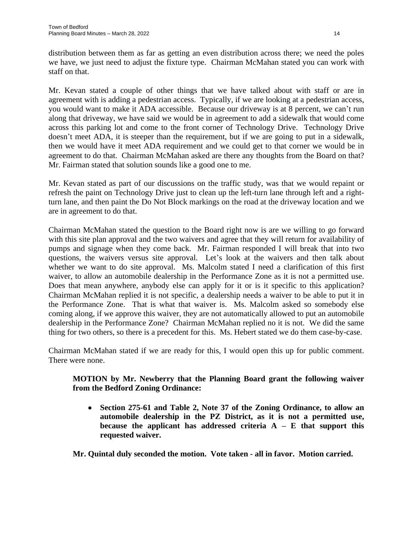distribution between them as far as getting an even distribution across there; we need the poles we have, we just need to adjust the fixture type. Chairman McMahan stated you can work with staff on that.

Mr. Kevan stated a couple of other things that we have talked about with staff or are in agreement with is adding a pedestrian access. Typically, if we are looking at a pedestrian access, you would want to make it ADA accessible. Because our driveway is at 8 percent, we can't run along that driveway, we have said we would be in agreement to add a sidewalk that would come across this parking lot and come to the front corner of Technology Drive. Technology Drive doesn't meet ADA, it is steeper than the requirement, but if we are going to put in a sidewalk, then we would have it meet ADA requirement and we could get to that corner we would be in agreement to do that. Chairman McMahan asked are there any thoughts from the Board on that? Mr. Fairman stated that solution sounds like a good one to me.

Mr. Kevan stated as part of our discussions on the traffic study, was that we would repaint or refresh the paint on Technology Drive just to clean up the left-turn lane through left and a rightturn lane, and then paint the Do Not Block markings on the road at the driveway location and we are in agreement to do that.

Chairman McMahan stated the question to the Board right now is are we willing to go forward with this site plan approval and the two waivers and agree that they will return for availability of pumps and signage when they come back. Mr. Fairman responded I will break that into two questions, the waivers versus site approval. Let's look at the waivers and then talk about whether we want to do site approval. Ms. Malcolm stated I need a clarification of this first waiver, to allow an automobile dealership in the Performance Zone as it is not a permitted use. Does that mean anywhere, anybody else can apply for it or is it specific to this application? Chairman McMahan replied it is not specific, a dealership needs a waiver to be able to put it in the Performance Zone. That is what that waiver is. Ms. Malcolm asked so somebody else coming along, if we approve this waiver, they are not automatically allowed to put an automobile dealership in the Performance Zone? Chairman McMahan replied no it is not. We did the same thing for two others, so there is a precedent for this. Ms. Hebert stated we do them case-by-case.

Chairman McMahan stated if we are ready for this, I would open this up for public comment. There were none.

# **MOTION by Mr. Newberry that the Planning Board grant the following waiver from the Bedford Zoning Ordinance:**

 **Section 275-61 and Table 2, Note 37 of the Zoning Ordinance, to allow an automobile dealership in the PZ District, as it is not a permitted use, because the applicant has addressed criteria A – E that support this requested waiver.**

**Mr. Quintal duly seconded the motion. Vote taken - all in favor. Motion carried.**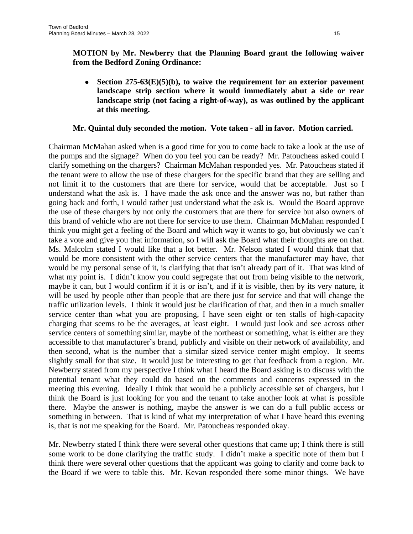**MOTION by Mr. Newberry that the Planning Board grant the following waiver from the Bedford Zoning Ordinance:**

 **Section 275-63(E)(5)(b), to waive the requirement for an exterior pavement landscape strip section where it would immediately abut a side or rear landscape strip (not facing a right-of-way), as was outlined by the applicant at this meeting.**

# **Mr. Quintal duly seconded the motion. Vote taken - all in favor. Motion carried.**

Chairman McMahan asked when is a good time for you to come back to take a look at the use of the pumps and the signage? When do you feel you can be ready? Mr. Patoucheas asked could I clarify something on the chargers? Chairman McMahan responded yes. Mr. Patoucheas stated if the tenant were to allow the use of these chargers for the specific brand that they are selling and not limit it to the customers that are there for service, would that be acceptable. Just so I understand what the ask is. I have made the ask once and the answer was no, but rather than going back and forth, I would rather just understand what the ask is. Would the Board approve the use of these chargers by not only the customers that are there for service but also owners of this brand of vehicle who are not there for service to use them. Chairman McMahan responded I think you might get a feeling of the Board and which way it wants to go, but obviously we can't take a vote and give you that information, so I will ask the Board what their thoughts are on that. Ms. Malcolm stated I would like that a lot better. Mr. Nelson stated I would think that that would be more consistent with the other service centers that the manufacturer may have, that would be my personal sense of it, is clarifying that that isn't already part of it. That was kind of what my point is. I didn't know you could segregate that out from being visible to the network, maybe it can, but I would confirm if it is or isn't, and if it is visible, then by its very nature, it will be used by people other than people that are there just for service and that will change the traffic utilization levels. I think it would just be clarification of that, and then in a much smaller service center than what you are proposing, I have seen eight or ten stalls of high-capacity charging that seems to be the averages, at least eight. I would just look and see across other service centers of something similar, maybe of the northeast or something, what is either are they accessible to that manufacturer's brand, publicly and visible on their network of availability, and then second, what is the number that a similar sized service center might employ. It seems slightly small for that size. It would just be interesting to get that feedback from a region. Mr. Newberry stated from my perspective I think what I heard the Board asking is to discuss with the potential tenant what they could do based on the comments and concerns expressed in the meeting this evening. Ideally I think that would be a publicly accessible set of chargers, but I think the Board is just looking for you and the tenant to take another look at what is possible there. Maybe the answer is nothing, maybe the answer is we can do a full public access or something in between. That is kind of what my interpretation of what I have heard this evening is, that is not me speaking for the Board. Mr. Patoucheas responded okay.

Mr. Newberry stated I think there were several other questions that came up; I think there is still some work to be done clarifying the traffic study. I didn't make a specific note of them but I think there were several other questions that the applicant was going to clarify and come back to the Board if we were to table this. Mr. Kevan responded there some minor things. We have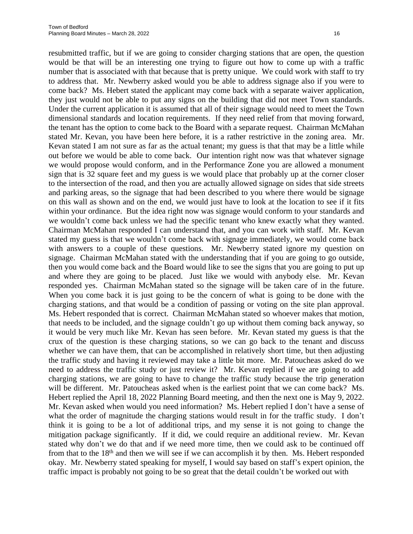resubmitted traffic, but if we are going to consider charging stations that are open, the question would be that will be an interesting one trying to figure out how to come up with a traffic number that is associated with that because that is pretty unique. We could work with staff to try to address that. Mr. Newberry asked would you be able to address signage also if you were to come back? Ms. Hebert stated the applicant may come back with a separate waiver application, they just would not be able to put any signs on the building that did not meet Town standards. Under the current application it is assumed that all of their signage would need to meet the Town dimensional standards and location requirements. If they need relief from that moving forward, the tenant has the option to come back to the Board with a separate request. Chairman McMahan stated Mr. Kevan, you have been here before, it is a rather restrictive in the zoning area. Mr. Kevan stated I am not sure as far as the actual tenant; my guess is that that may be a little while out before we would be able to come back. Our intention right now was that whatever signage we would propose would conform, and in the Performance Zone you are allowed a monument sign that is 32 square feet and my guess is we would place that probably up at the corner closer to the intersection of the road, and then you are actually allowed signage on sides that side streets and parking areas, so the signage that had been described to you where there would be signage on this wall as shown and on the end, we would just have to look at the location to see if it fits within your ordinance. But the idea right now was signage would conform to your standards and we wouldn't come back unless we had the specific tenant who knew exactly what they wanted. Chairman McMahan responded I can understand that, and you can work with staff. Mr. Kevan stated my guess is that we wouldn't come back with signage immediately, we would come back with answers to a couple of these questions. Mr. Newberry stated ignore my question on signage. Chairman McMahan stated with the understanding that if you are going to go outside, then you would come back and the Board would like to see the signs that you are going to put up and where they are going to be placed. Just like we would with anybody else. Mr. Kevan responded yes. Chairman McMahan stated so the signage will be taken care of in the future. When you come back it is just going to be the concern of what is going to be done with the charging stations, and that would be a condition of passing or voting on the site plan approval. Ms. Hebert responded that is correct. Chairman McMahan stated so whoever makes that motion, that needs to be included, and the signage couldn't go up without them coming back anyway, so it would be very much like Mr. Kevan has seen before. Mr. Kevan stated my guess is that the crux of the question is these charging stations, so we can go back to the tenant and discuss whether we can have them, that can be accomplished in relatively short time, but then adjusting the traffic study and having it reviewed may take a little bit more. Mr. Patoucheas asked do we need to address the traffic study or just review it? Mr. Kevan replied if we are going to add charging stations, we are going to have to change the traffic study because the trip generation will be different. Mr. Patoucheas asked when is the earliest point that we can come back? Ms. Hebert replied the April 18, 2022 Planning Board meeting, and then the next one is May 9, 2022. Mr. Kevan asked when would you need information? Ms. Hebert replied I don't have a sense of what the order of magnitude the charging stations would result in for the traffic study. I don't think it is going to be a lot of additional trips, and my sense it is not going to change the mitigation package significantly. If it did, we could require an additional review. Mr. Kevan stated why don't we do that and if we need more time, then we could ask to be continued off from that to the  $18<sup>th</sup>$  and then we will see if we can accomplish it by then. Ms. Hebert responded okay. Mr. Newberry stated speaking for myself, I would say based on staff's expert opinion, the traffic impact is probably not going to be so great that the detail couldn't be worked out with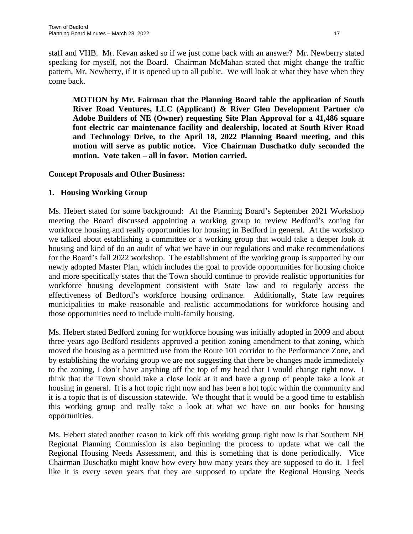staff and VHB. Mr. Kevan asked so if we just come back with an answer? Mr. Newberry stated speaking for myself, not the Board. Chairman McMahan stated that might change the traffic pattern, Mr. Newberry, if it is opened up to all public. We will look at what they have when they come back.

**MOTION by Mr. Fairman that the Planning Board table the application of South River Road Ventures, LLC (Applicant) & River Glen Development Partner c/o Adobe Builders of NE (Owner) requesting Site Plan Approval for a 41,486 square foot electric car maintenance facility and dealership, located at South River Road and Technology Drive, to the April 18, 2022 Planning Board meeting, and this motion will serve as public notice. Vice Chairman Duschatko duly seconded the motion. Vote taken – all in favor. Motion carried.**

# **Concept Proposals and Other Business:**

# **1. Housing Working Group**

Ms. Hebert stated for some background: At the Planning Board's September 2021 Workshop meeting the Board discussed appointing a working group to review Bedford's zoning for workforce housing and really opportunities for housing in Bedford in general. At the workshop we talked about establishing a committee or a working group that would take a deeper look at housing and kind of do an audit of what we have in our regulations and make recommendations for the Board's fall 2022 workshop. The establishment of the working group is supported by our newly adopted Master Plan, which includes the goal to provide opportunities for housing choice and more specifically states that the Town should continue to provide realistic opportunities for workforce housing development consistent with State law and to regularly access the effectiveness of Bedford's workforce housing ordinance. Additionally, State law requires municipalities to make reasonable and realistic accommodations for workforce housing and those opportunities need to include multi-family housing.

Ms. Hebert stated Bedford zoning for workforce housing was initially adopted in 2009 and about three years ago Bedford residents approved a petition zoning amendment to that zoning, which moved the housing as a permitted use from the Route 101 corridor to the Performance Zone, and by establishing the working group we are not suggesting that there be changes made immediately to the zoning, I don't have anything off the top of my head that I would change right now. I think that the Town should take a close look at it and have a group of people take a look at housing in general. It is a hot topic right now and has been a hot topic within the community and it is a topic that is of discussion statewide. We thought that it would be a good time to establish this working group and really take a look at what we have on our books for housing opportunities.

Ms. Hebert stated another reason to kick off this working group right now is that Southern NH Regional Planning Commission is also beginning the process to update what we call the Regional Housing Needs Assessment, and this is something that is done periodically. Vice Chairman Duschatko might know how every how many years they are supposed to do it. I feel like it is every seven years that they are supposed to update the Regional Housing Needs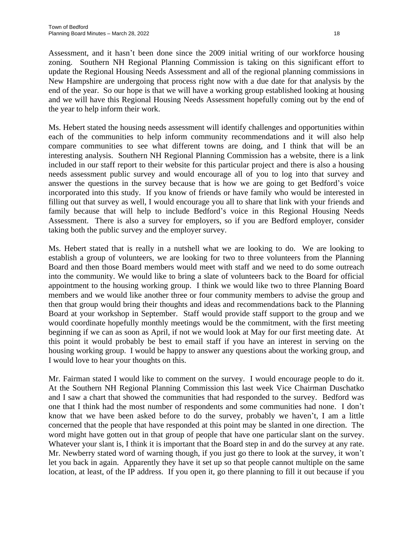Assessment, and it hasn't been done since the 2009 initial writing of our workforce housing zoning. Southern NH Regional Planning Commission is taking on this significant effort to update the Regional Housing Needs Assessment and all of the regional planning commissions in New Hampshire are undergoing that process right now with a due date for that analysis by the end of the year. So our hope is that we will have a working group established looking at housing and we will have this Regional Housing Needs Assessment hopefully coming out by the end of the year to help inform their work.

Ms. Hebert stated the housing needs assessment will identify challenges and opportunities within each of the communities to help inform community recommendations and it will also help compare communities to see what different towns are doing, and I think that will be an interesting analysis. Southern NH Regional Planning Commission has a website, there is a link included in our staff report to their website for this particular project and there is also a housing needs assessment public survey and would encourage all of you to log into that survey and answer the questions in the survey because that is how we are going to get Bedford's voice incorporated into this study. If you know of friends or have family who would be interested in filling out that survey as well, I would encourage you all to share that link with your friends and family because that will help to include Bedford's voice in this Regional Housing Needs Assessment. There is also a survey for employers, so if you are Bedford employer, consider taking both the public survey and the employer survey.

Ms. Hebert stated that is really in a nutshell what we are looking to do. We are looking to establish a group of volunteers, we are looking for two to three volunteers from the Planning Board and then those Board members would meet with staff and we need to do some outreach into the community. We would like to bring a slate of volunteers back to the Board for official appointment to the housing working group. I think we would like two to three Planning Board members and we would like another three or four community members to advise the group and then that group would bring their thoughts and ideas and recommendations back to the Planning Board at your workshop in September. Staff would provide staff support to the group and we would coordinate hopefully monthly meetings would be the commitment, with the first meeting beginning if we can as soon as April, if not we would look at May for our first meeting date. At this point it would probably be best to email staff if you have an interest in serving on the housing working group. I would be happy to answer any questions about the working group, and I would love to hear your thoughts on this.

Mr. Fairman stated I would like to comment on the survey. I would encourage people to do it. At the Southern NH Regional Planning Commission this last week Vice Chairman Duschatko and I saw a chart that showed the communities that had responded to the survey. Bedford was one that I think had the most number of respondents and some communities had none. I don't know that we have been asked before to do the survey, probably we haven't, I am a little concerned that the people that have responded at this point may be slanted in one direction. The word might have gotten out in that group of people that have one particular slant on the survey. Whatever your slant is, I think it is important that the Board step in and do the survey at any rate. Mr. Newberry stated word of warning though, if you just go there to look at the survey, it won't let you back in again. Apparently they have it set up so that people cannot multiple on the same location, at least, of the IP address. If you open it, go there planning to fill it out because if you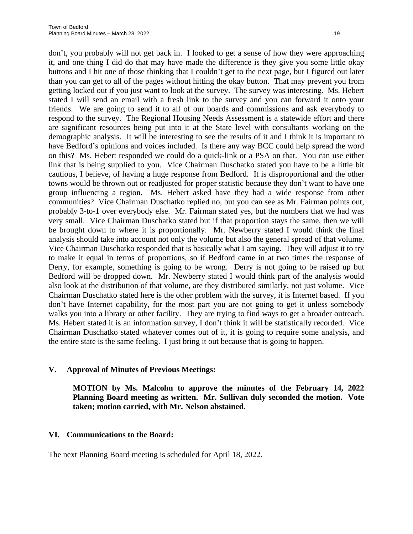don't, you probably will not get back in. I looked to get a sense of how they were approaching it, and one thing I did do that may have made the difference is they give you some little okay buttons and I hit one of those thinking that I couldn't get to the next page, but I figured out later than you can get to all of the pages without hitting the okay button. That may prevent you from getting locked out if you just want to look at the survey. The survey was interesting. Ms. Hebert stated I will send an email with a fresh link to the survey and you can forward it onto your friends. We are going to send it to all of our boards and commissions and ask everybody to respond to the survey. The Regional Housing Needs Assessment is a statewide effort and there are significant resources being put into it at the State level with consultants working on the demographic analysis. It will be interesting to see the results of it and I think it is important to have Bedford's opinions and voices included. Is there any way BCC could help spread the word on this? Ms. Hebert responded we could do a quick-link or a PSA on that. You can use either link that is being supplied to you. Vice Chairman Duschatko stated you have to be a little bit cautious, I believe, of having a huge response from Bedford. It is disproportional and the other towns would be thrown out or readjusted for proper statistic because they don't want to have one group influencing a region. Ms. Hebert asked have they had a wide response from other communities? Vice Chairman Duschatko replied no, but you can see as Mr. Fairman points out, probably 3-to-1 over everybody else. Mr. Fairman stated yes, but the numbers that we had was very small. Vice Chairman Duschatko stated but if that proportion stays the same, then we will be brought down to where it is proportionally. Mr. Newberry stated I would think the final analysis should take into account not only the volume but also the general spread of that volume. Vice Chairman Duschatko responded that is basically what I am saying. They will adjust it to try to make it equal in terms of proportions, so if Bedford came in at two times the response of Derry, for example, something is going to be wrong. Derry is not going to be raised up but Bedford will be dropped down. Mr. Newberry stated I would think part of the analysis would also look at the distribution of that volume, are they distributed similarly, not just volume. Vice Chairman Duschatko stated here is the other problem with the survey, it is Internet based. If you don't have Internet capability, for the most part you are not going to get it unless somebody walks you into a library or other facility. They are trying to find ways to get a broader outreach. Ms. Hebert stated it is an information survey, I don't think it will be statistically recorded. Vice Chairman Duschatko stated whatever comes out of it, it is going to require some analysis, and the entire state is the same feeling. I just bring it out because that is going to happen.

# **V. Approval of Minutes of Previous Meetings:**

**MOTION by Ms. Malcolm to approve the minutes of the February 14, 2022 Planning Board meeting as written. Mr. Sullivan duly seconded the motion. Vote taken; motion carried, with Mr. Nelson abstained.**

# **VI. Communications to the Board:**

The next Planning Board meeting is scheduled for April 18, 2022.